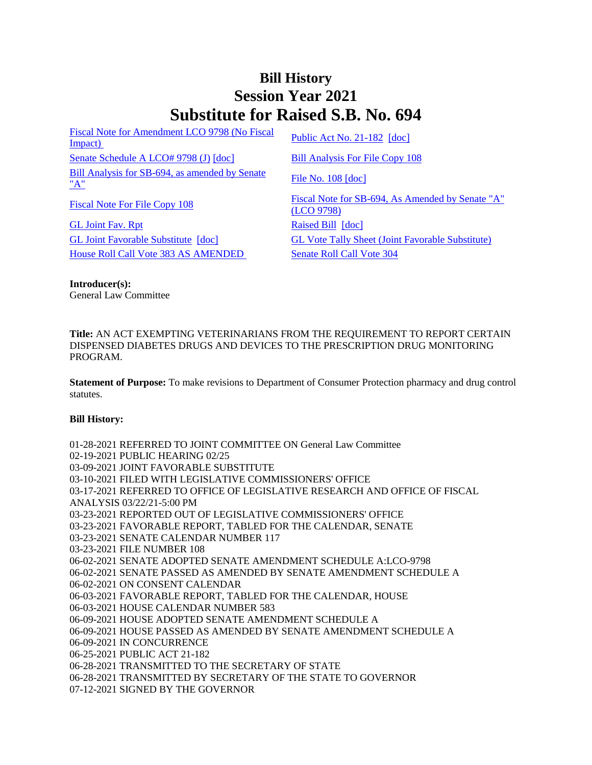## **Bill History Session Year 2021 Substitute for Raised S.B. No. 694**

[Fiscal Note for Amendment LCO 9798 \(No Fiscal](/2021/fna/pdf/2021SB-00694-R00LCO09798-FNA.PDF)  <u>Fiscal Note for Americanem ECO 9798 (NO Fiscal</u> [Public Act No. 21-182](/2021/ACT/PA/PDF/2021PA-00182-R00SB-00694-PA.PDF) [\[doc\]](https://search.cga.state.ct.us/dl2021/PA/DOC/2021PA-00182-R00SB-00694-PA.DOCX) [Senate Schedule A LCO# 9798 \(J\)](/2021/amd/S/pdf/2021SB-00694-R00SA-AMD.pdf) [\[doc\]](https://search.cga.state.ct.us/dl2021/AMd/DOC/2021SB-00694-R00SA-AMD.Docx) [Bill Analysis For File Copy 108](/2021/BA/PDF/2021SB-00694-R000108-BA.PDF) [Bill Analysis for SB-694, as amended by Senate](/2021/BA/PDF/2021SB-00694-R01-BA.PDF)   $\frac{\text{File No. 108 [doc]}}{\text{A}}$  $\frac{\text{File No. 108 [doc]}}{\text{A}}$  $\frac{\text{File No. 108 [doc]}}{\text{A}}$  $\frac{\text{File No. 108 [doc]}}{\text{A}}$  $\frac{\text{File No. 108 [doc]}}{\text{A}}$ 

[GL Joint Fav. Rpt](/2021/JFR/S/PDF/2021SB-00694-R00GL-JFR.PDF) [Raised Bill](/2021/TOB/S/PDF/2021SB-00694-R00-SB.PDF) [\[doc\]](https://search.cga.state.ct.us/dl2021/TOB/DOC/2021SB-00694-R00-SB.DOCX) [House Roll Call Vote 383 AS AMENDED](/2021/VOTE/H/PDF/2021HV-00383-R00SB00694-HV.PDF) Senate Roll Call Vote 304

[Fiscal Note For File Copy 108](/2021/FN/PDF/2021SB-00694-R000108-FN.PDF) Fiscal Note for SB-694, As Amended by Senate "A" [\(LCO 9798\)](/2021/FN/PDF/2021SB-00694-R01-FN.PDF) [GL Joint Favorable Substitute](/2021/TOB/S/PDF/2021SB-00694-R01-SB.PDF) [\[doc\]](https://search.cga.state.ct.us/dl2021/TOB/DOC/2021SB-00694-R01-SB.DOCX) [GL Vote Tally Sheet \(Joint Favorable Substitute\)](/2021/TS/S/PDF/2021SB-00694-R00GL-CV62-TS.PDF)

**Introducer(s):** General Law Committee

**Title:** AN ACT EXEMPTING VETERINARIANS FROM THE REQUIREMENT TO REPORT CERTAIN DISPENSED DIABETES DRUGS AND DEVICES TO THE PRESCRIPTION DRUG MONITORING PROGRAM.

**Statement of Purpose:** To make revisions to Department of Consumer Protection pharmacy and drug control statutes.

## **Bill History:**

01-28-2021 REFERRED TO JOINT COMMITTEE ON General Law Committee 02-19-2021 PUBLIC HEARING 02/25 03-09-2021 JOINT FAVORABLE SUBSTITUTE 03-10-2021 FILED WITH LEGISLATIVE COMMISSIONERS' OFFICE 03-17-2021 REFERRED TO OFFICE OF LEGISLATIVE RESEARCH AND OFFICE OF FISCAL ANALYSIS 03/22/21-5:00 PM 03-23-2021 REPORTED OUT OF LEGISLATIVE COMMISSIONERS' OFFICE 03-23-2021 FAVORABLE REPORT, TABLED FOR THE CALENDAR, SENATE 03-23-2021 SENATE CALENDAR NUMBER 117 03-23-2021 FILE NUMBER 108 06-02-2021 SENATE ADOPTED SENATE AMENDMENT SCHEDULE A:LCO-9798 06-02-2021 SENATE PASSED AS AMENDED BY SENATE AMENDMENT SCHEDULE A 06-02-2021 ON CONSENT CALENDAR 06-03-2021 FAVORABLE REPORT, TABLED FOR THE CALENDAR, HOUSE 06-03-2021 HOUSE CALENDAR NUMBER 583 06-09-2021 HOUSE ADOPTED SENATE AMENDMENT SCHEDULE A 06-09-2021 HOUSE PASSED AS AMENDED BY SENATE AMENDMENT SCHEDULE A 06-09-2021 IN CONCURRENCE 06-25-2021 PUBLIC ACT 21-182 06-28-2021 TRANSMITTED TO THE SECRETARY OF STATE 06-28-2021 TRANSMITTED BY SECRETARY OF THE STATE TO GOVERNOR 07-12-2021 SIGNED BY THE GOVERNOR